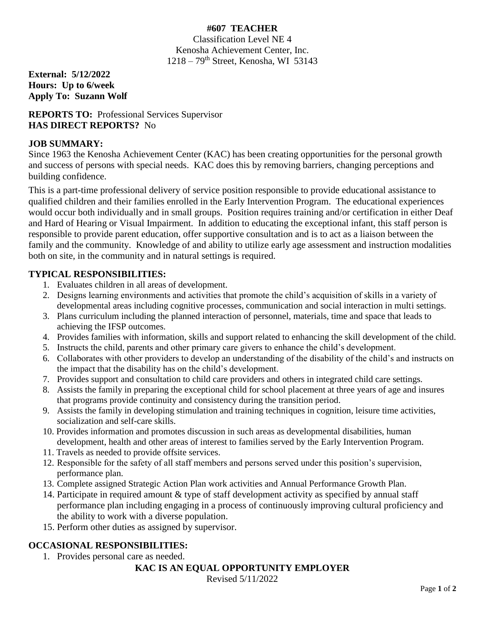#### **#607 TEACHER** Classification Level NE 4 Kenosha Achievement Center, Inc. 1218 – 79th Street, Kenosha, WI 53143

**External: 5/12/2022 Hours: Up to 6/week Apply To: Suzann Wolf** 

#### **REPORTS TO:** Professional Services Supervisor **HAS DIRECT REPORTS?** No

### **JOB SUMMARY:**

Since 1963 the Kenosha Achievement Center (KAC) has been creating opportunities for the personal growth and success of persons with special needs. KAC does this by removing barriers, changing perceptions and building confidence.

This is a part-time professional delivery of service position responsible to provide educational assistance to qualified children and their families enrolled in the Early Intervention Program. The educational experiences would occur both individually and in small groups. Position requires training and/or certification in either Deaf and Hard of Hearing or Visual Impairment. In addition to educating the exceptional infant, this staff person is responsible to provide parent education, offer supportive consultation and is to act as a liaison between the family and the community. Knowledge of and ability to utilize early age assessment and instruction modalities both on site, in the community and in natural settings is required.

## **TYPICAL RESPONSIBILITIES:**

- 1. Evaluates children in all areas of development.
- 2. Designs learning environments and activities that promote the child's acquisition of skills in a variety of developmental areas including cognitive processes, communication and social interaction in multi settings.
- 3. Plans curriculum including the planned interaction of personnel, materials, time and space that leads to achieving the IFSP outcomes.
- 4. Provides families with information, skills and support related to enhancing the skill development of the child.
- 5. Instructs the child, parents and other primary care givers to enhance the child's development.
- 6. Collaborates with other providers to develop an understanding of the disability of the child's and instructs on the impact that the disability has on the child's development.
- 7. Provides support and consultation to child care providers and others in integrated child care settings.
- 8. Assists the family in preparing the exceptional child for school placement at three years of age and insures that programs provide continuity and consistency during the transition period.
- 9. Assists the family in developing stimulation and training techniques in cognition, leisure time activities, socialization and self-care skills.
- 10. Provides information and promotes discussion in such areas as developmental disabilities, human development, health and other areas of interest to families served by the Early Intervention Program.
- 11. Travels as needed to provide offsite services.
- 12. Responsible for the safety of all staff members and persons served under this position's supervision, performance plan.
- 13. Complete assigned Strategic Action Plan work activities and Annual Performance Growth Plan.
- 14. Participate in required amount & type of staff development activity as specified by annual staff performance plan including engaging in a process of continuously improving cultural proficiency and the ability to work with a diverse population.
- 15. Perform other duties as assigned by supervisor.

## **OCCASIONAL RESPONSIBILITIES:**

1. Provides personal care as needed.

# **KAC IS AN EQUAL OPPORTUNITY EMPLOYER**

Revised 5/11/2022